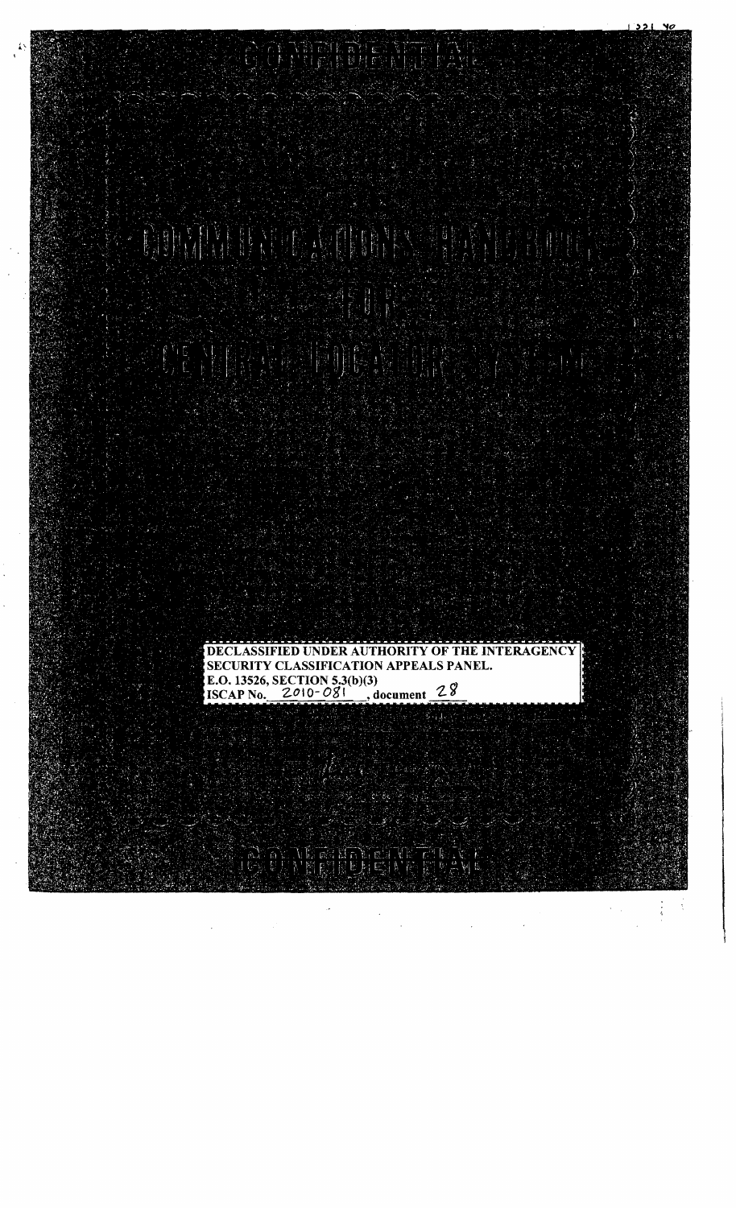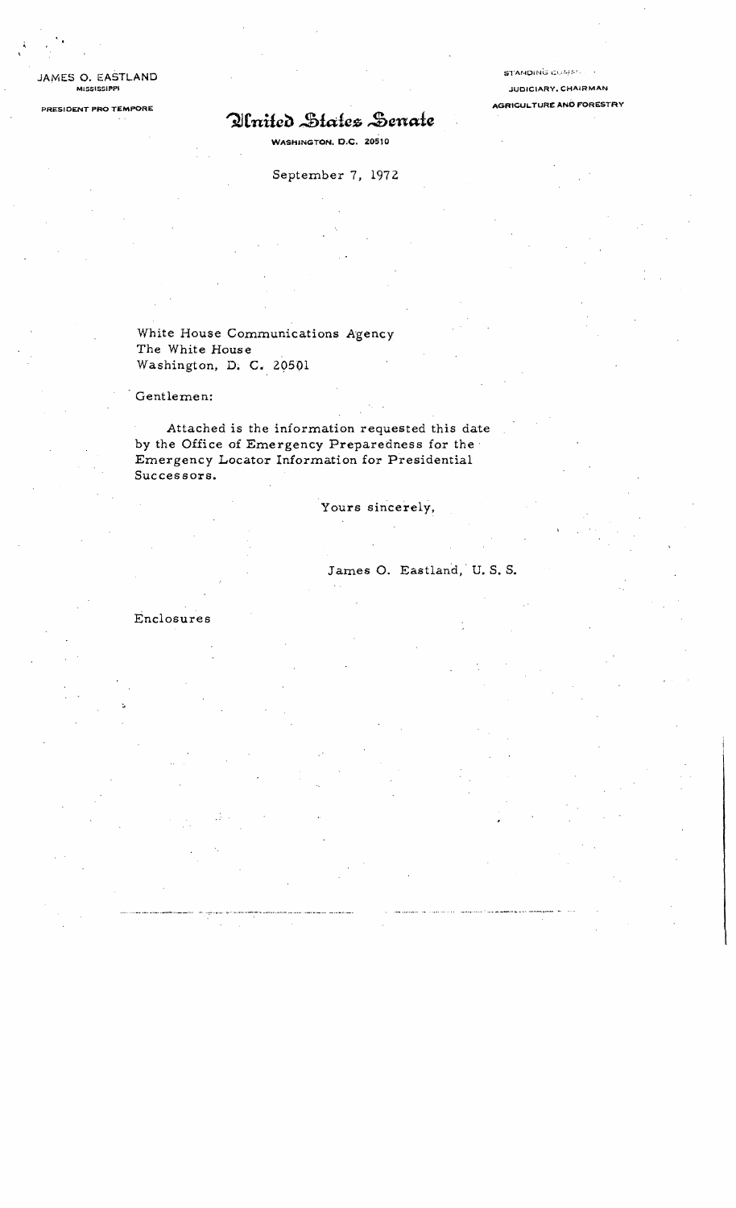JAMES O. EASTLAND

# PRESIDENT PRO TEMPORE **Quantity AGAICS** Servate AGRICULTURE AND FORESTRY

WASHINGTON. D.C. 205tO

September 7, 1972

White House Communications Agency The White House Washington, D; C. 29501

Gentlemen:

Attached is the information requested this date by the Office of Emergency Preparedness for the· Emergency Locator Information for Presidential Successors.

Yours sincerely,

James O. Eastland, U.S.S.

Enclosures

**STANDING COMM.** 

JUDICIARY, CHAIRMAN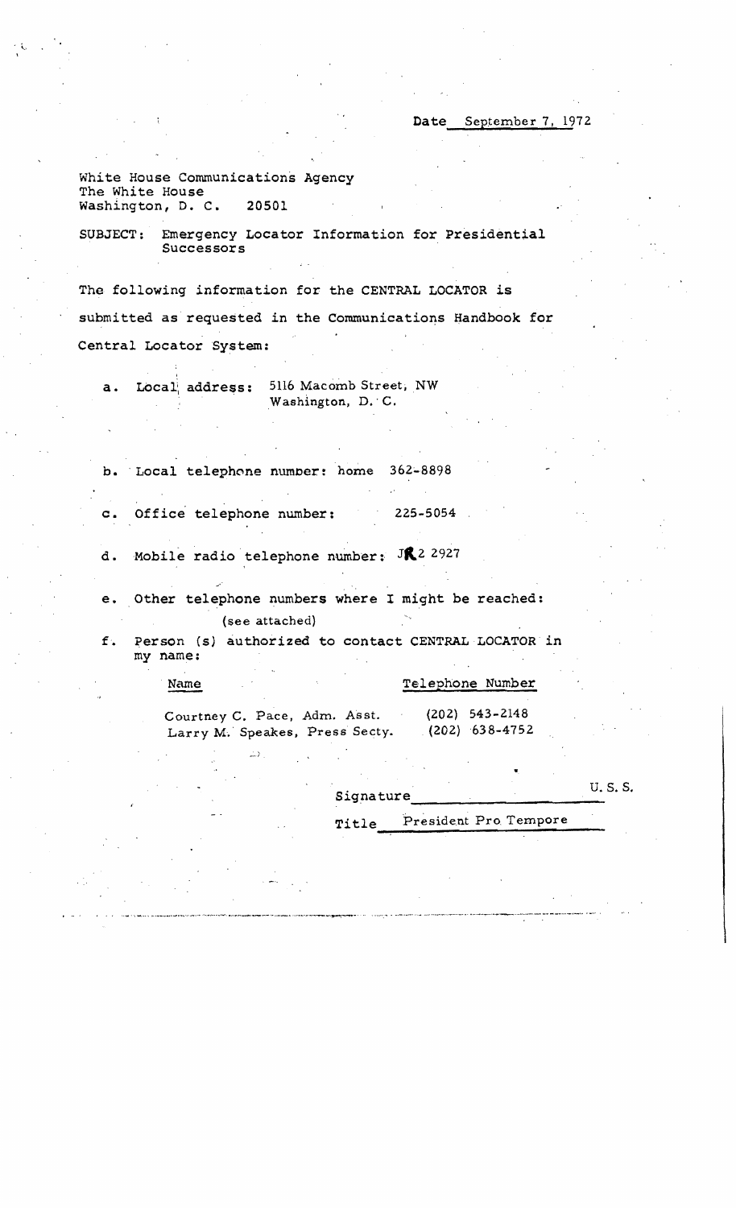Date September 7, 1972

White House Communications Agency The White House washington, D. C. 20501

SUBJECT: Emergency Locator Information for Presidential Successors

The following information for the CENTRAL LOCATOR is submitted as requested in the Communications Handbook for Central Locator System:

| a. Local address: | 5116 Macomb Street, NW |
|-------------------|------------------------|
|                   | Washington, D. C.      |

b. Local telephone number: home 362-8898

c. Office telephone number: 225-5054

d. Mobile radio telephone number:  $JR^2$  2927

e. Other telephone numbers where I might be reached: (see attached)

f. Person (s) authorized to contact CENTRAL LOCATOR in my name:

| Name                                                           |  |  | Telephone Number                     |
|----------------------------------------------------------------|--|--|--------------------------------------|
| Courtney C. Pace, Adm. Asst.<br>Larry M. Speakes, Press Secty. |  |  | $(202)$ 543-2148<br>$(202)$ 638-4752 |

Signature U.S.S.

Title<sub>---</sub>President Pro Tempore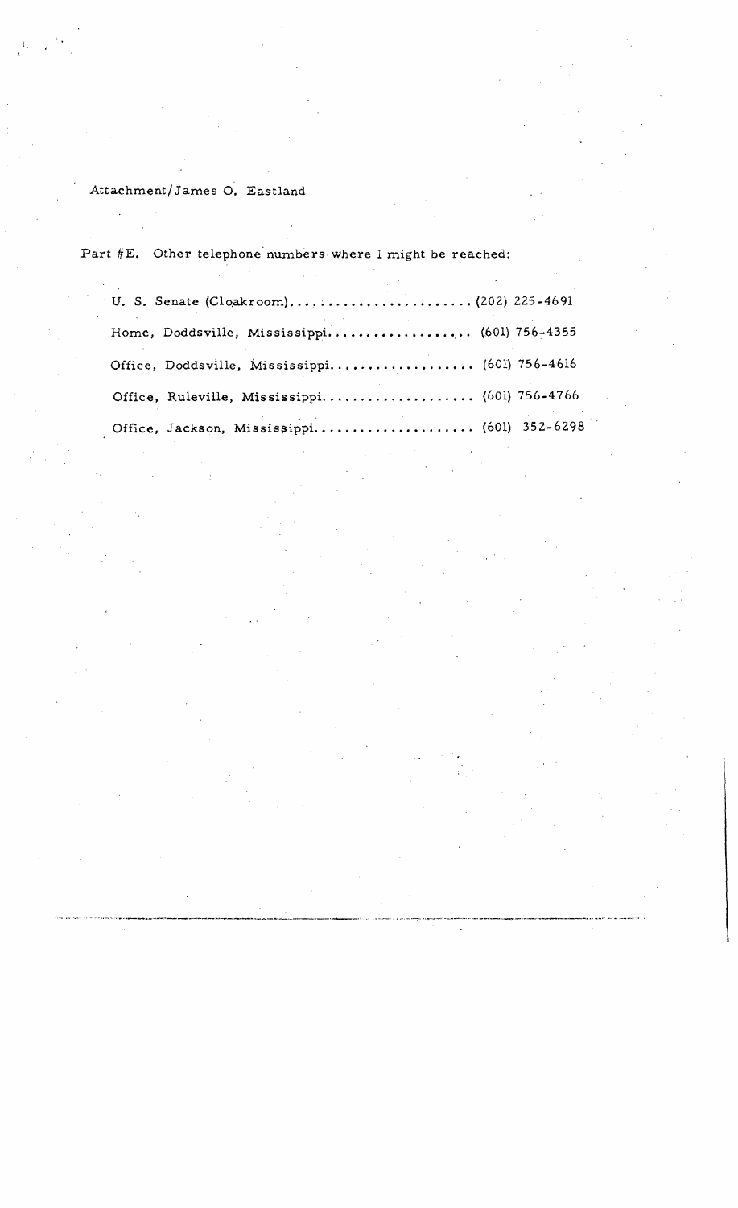### Attachment/ James O. Eastland

i,

Part #E. Other telephone numbers where I might be reached:

| Home, Doddsville, Mississippi (601) 756-4355   |  |
|------------------------------------------------|--|
| Office, Doddsville, Mississippi (601) 756-4616 |  |
| Office, Ruleville, Mississippi (601) 756-4766  |  |
| Office, Jackson, Mississippi (601) 352-6298    |  |

.... -.~ .. -~- ......---..-.----.....----....--....--------~....-----.--~" ... \_---" -....---- ..--~.--..- .. "'.-.. -...-~-.--.-.---.------.. "'...-- ....\_\_ ...• - ..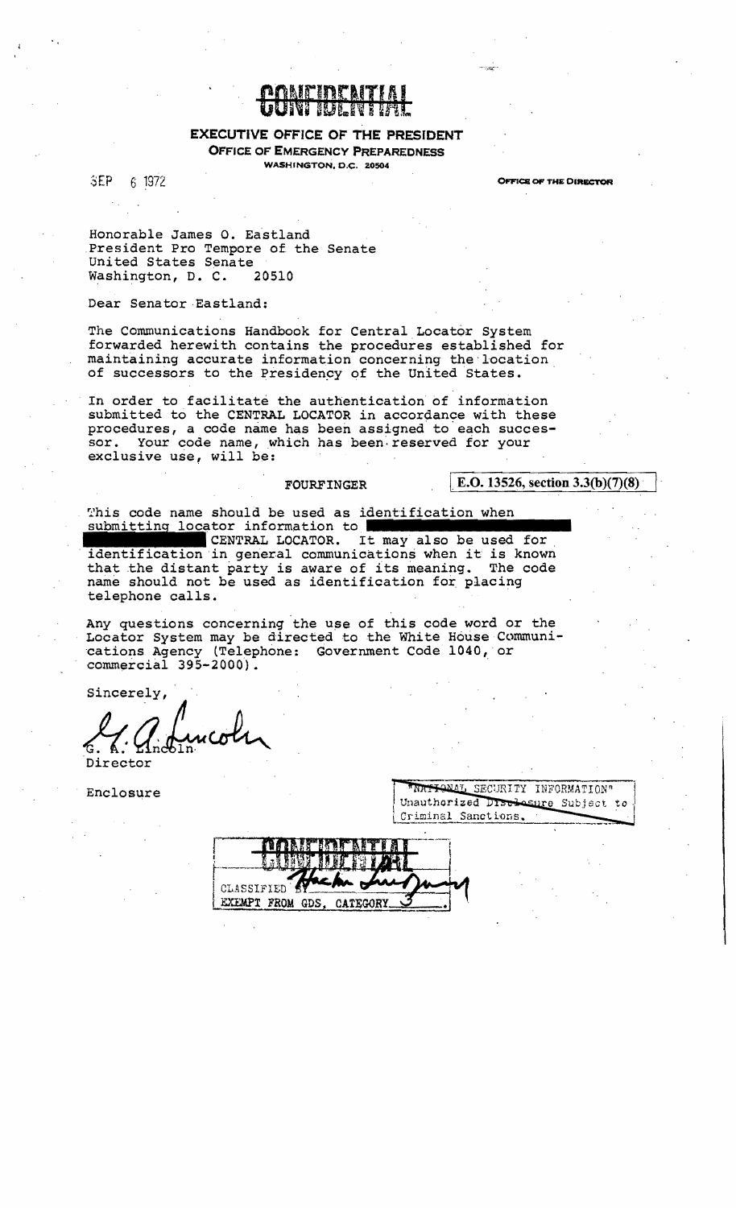

#### **EXECUTIVE OFFICE OF THE PRESIDENT OFFICE OF EMERGENCY PREPAREDNESS**

WASHINGTON, D.C. 20504

SEP. 6 1972 **OFFICE OF THE DIRECTOR** 

Honorable James O. Eastland President Pro Tempore of the Senate United States Senate Washington, D. C. 20510

Dear Senator Eastland:

The Communications Handbook for Central Locator System forwarded herewith contains the procedures established for maintaining accurate information concerning the location of successors to the Presidency of the United States.

In order to facilitate the authentication of information submitted to the CENTRAL LOCATOR in accordance with these procedures, a code name has been assigned to each successor. Your code name, which has been reserved for your exclusive use, will be:

#### **FOURFINGER**

E.O. 13526, section  $3.3(b)(7)(8)$ 

This code name should be used as identification when submitting locator information to

CENTRAL LOCATOR. It may also be used for identification in general communications when it is known that the distant party is aware of its meaning. The code name should not be used as identification for placing telephone calls.

Any questions concerning the use of this code word or the Locator System may be directed to the White House Communications Agency (Telephone: Government Code 1040, or  $commercial$  395-2000).

Sincerely,

Director

Enclosure

| "NATIONAL SECURITY INFORMATION"    |  |  |  |  |
|------------------------------------|--|--|--|--|
| Unauthorized Disclesure Subject to |  |  |  |  |
| Criminal Sanctions.                |  |  |  |  |

| CLASSIFIED <sup>4</sup> |  | FRATAKS BERK AFTERE |  |
|-------------------------|--|---------------------|--|
|                         |  | 星壁 我叫!              |  |
| EXEMPT FROM GDS, CATEGO |  |                     |  |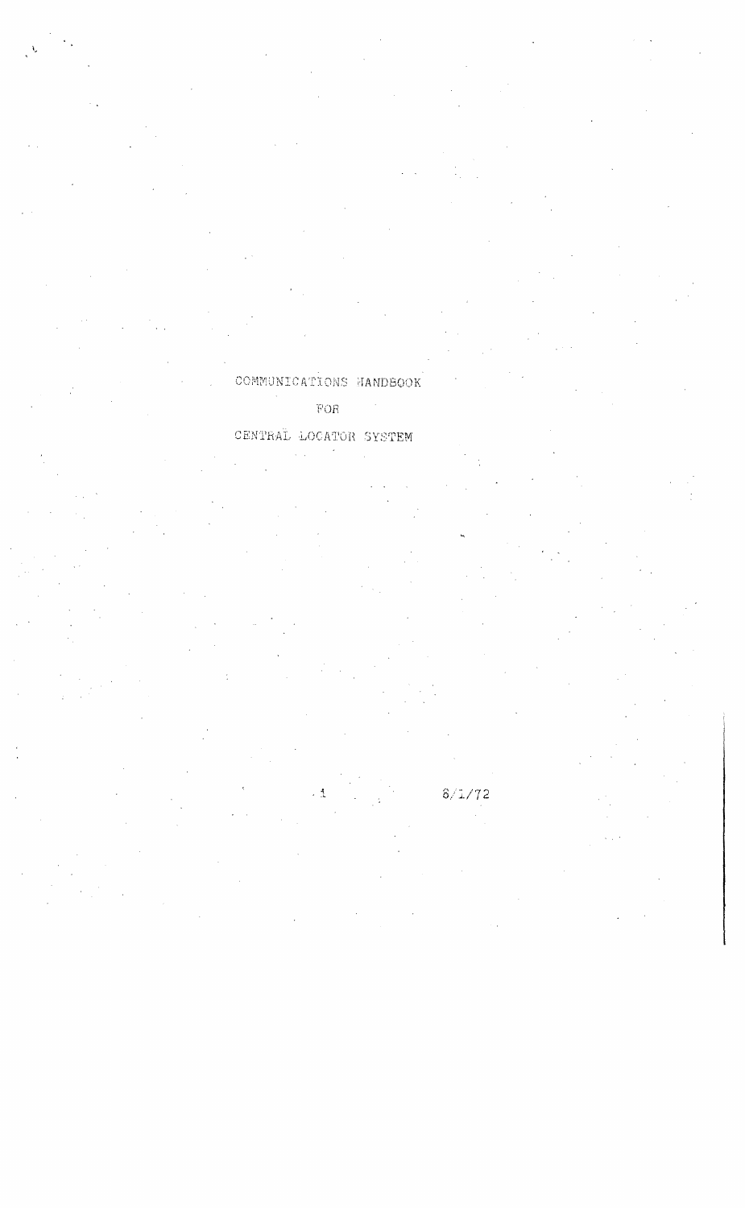COMMUNICATIONS HANDBOOK  $\overline{\text{FOR}}$ 

### CENTRAL LOCATOR SYSTEM

 $8/1/72$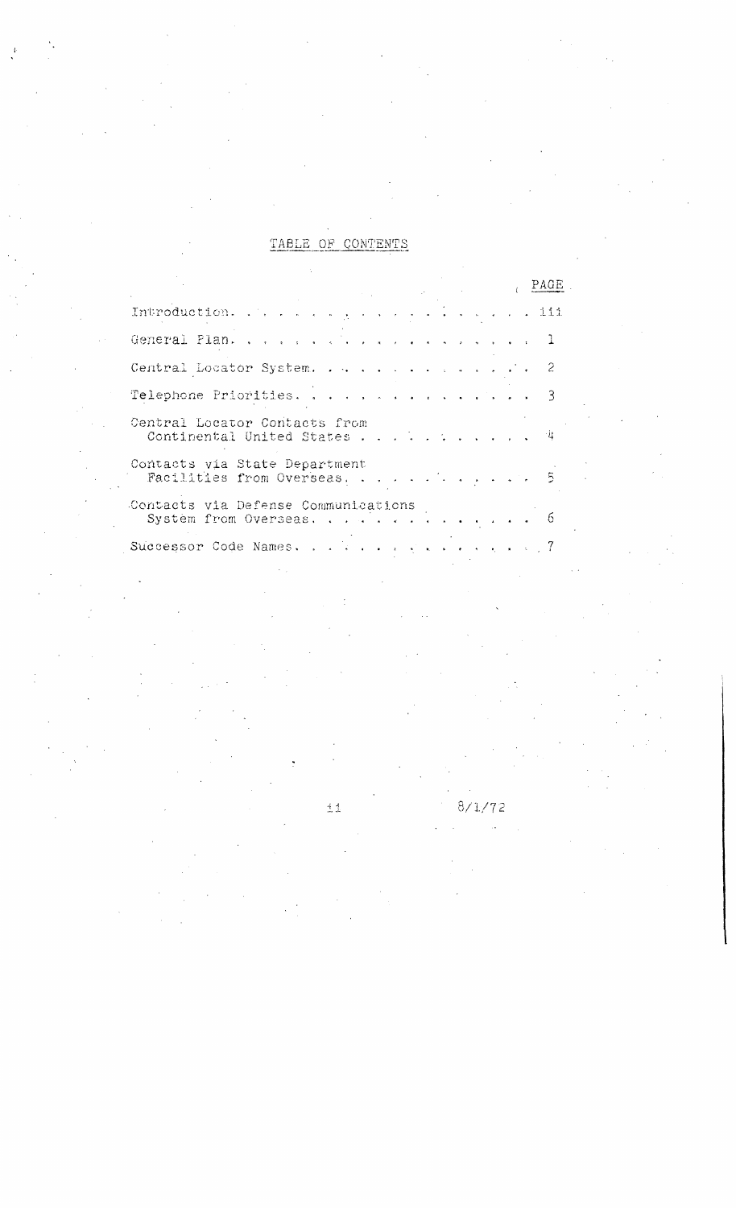#### TABLE OF CONTENTS

|                                                                |  | PAGE |  |
|----------------------------------------------------------------|--|------|--|
| Introduction. 111                                              |  |      |  |
|                                                                |  |      |  |
| Central Locator System. 2                                      |  |      |  |
| Telephone Priorities. 3                                        |  |      |  |
| Central Locator Contacts from<br>Continental United States 4   |  |      |  |
| Contacts via State Department<br>Facilities from Overseas. 5   |  |      |  |
| Contacts via Defense Communications<br>Systèm from Overseas. 6 |  |      |  |
| Successor Code Names. 7                                        |  |      |  |
|                                                                |  |      |  |

 $\pm$  1

8/1/72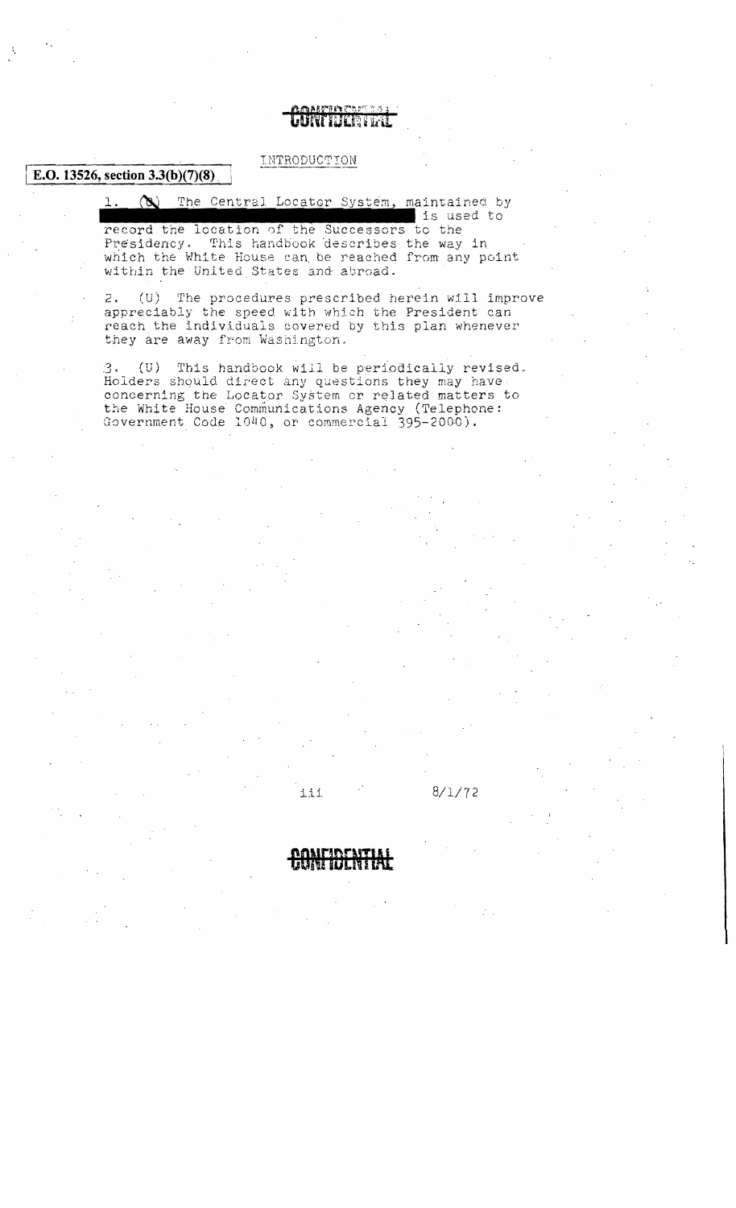#### ምንያት ምልምና ሳ truman

**E.O. 13526, section 3.3(b)(7)(8)** INTRODUCTION

 $\infty$  The Central Locator System, maintained by is used to record the location of the Successors to the Presidency. This handbook describes the way in which the White House can be reached from any point

within the United States and abroad.

2. (U) The procedures prescribed herein will improve appreciably the speed with which the President can reach the individuals covered by this plan whenever they are away from Washington.

 $3.$  (U) This handbook will be periodically revised. Holders should direct any questions they may have concerning the Locator System or related matters to the White House Communications Agency (Telephone: Government Code 1040, or commercial 395-2000).



iii. 8/1/72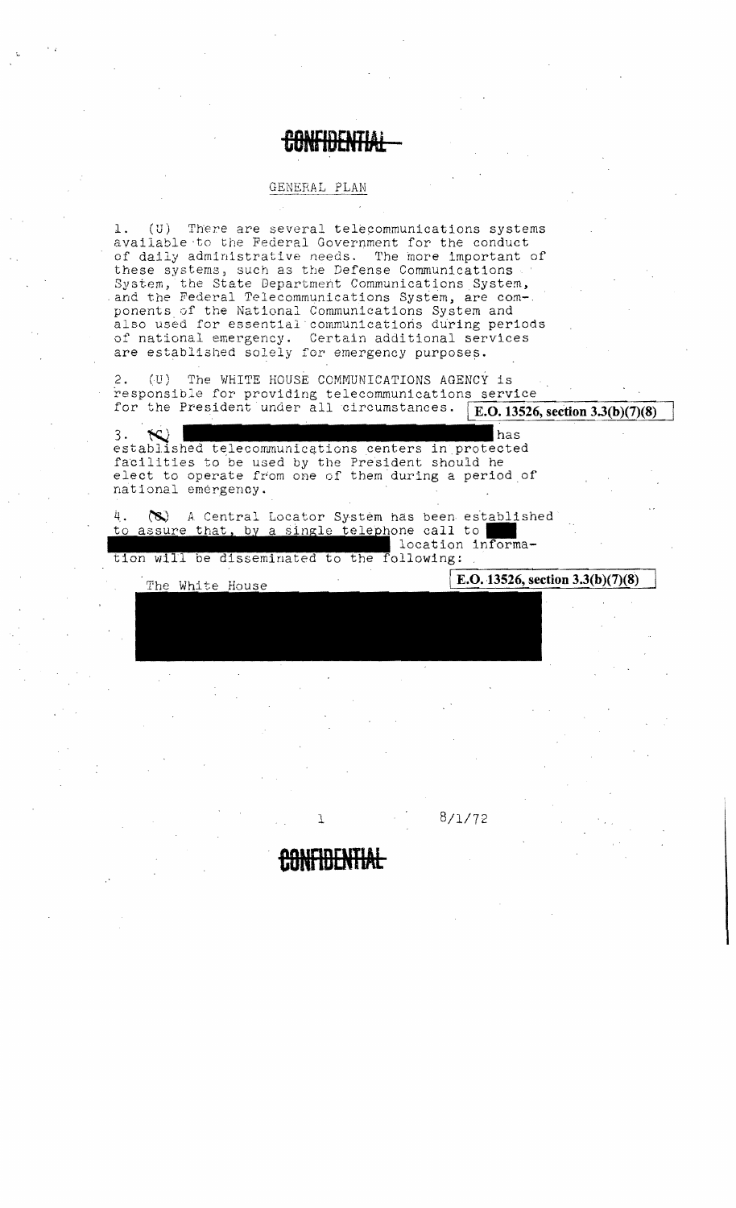### GENERAL PLAN (U) There are several telecommunications systems available to the Federal Government for the conduct of daily administrative needs. The more important of these systems, such as the Defense Communications System, the State Department Communications System, and the Federal Telecommunications System, are com-. ponents of the National Communications System and also used for essential communications during periods of national emergency. Certain additional services are established solely for emergency purposes.

2. (U) The WHITE HOUSE COMMUNICATIONS AGENCY is responsible for providing telecommunications service for the President under all circumstances. E.O. 13526, section  $3.3(b)(7)(8)$ 

has 3. established telecommunications centers in protected facilities to be used by the President should he elect to operate from one of them during a period of national emergency.

4. (S) A Central Locator System has been established to assure that, by a single telephone call to location informa-

tion will be disseminated to the following:

E.O. 13526, section  $3.3(b)(7)(8)$ 

 $8/1/72$ 

The White House

ı.

٦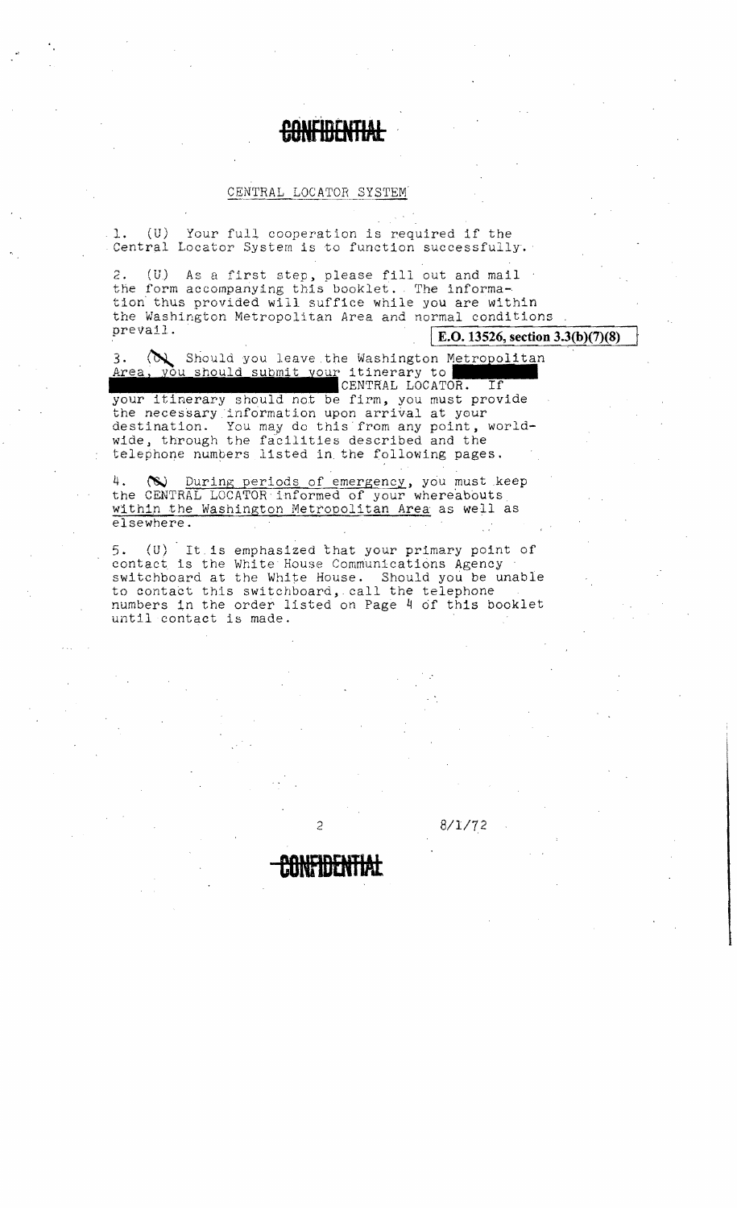# **CONFIDENTIAL**

#### CENTRAL LOCATOR SYSTEM

.1. (U) Your ful], cooperation is required if the Central Locator System is to function successfully.

2. (U) As a first step, please fill out and mail 2. (U) As a first step, please fill out and mail<br>the form accompanying this booklet. The information thus provided will suffice while you are within the Washington Metropolitan Area and normal conditions<br>prevail. rea and normal conditions<br> **E.O.13526, section 3.3(b)**<br>
Washington Metropolitan<br>
itinerary to<br>
ENTRAL LOCATOR. If

**E.O.** 13526, section 3.3(b)(7)(8)

3. ( $\bigotimes$  Should you leave the Washington Metropolitan Area, you should submit your itinerary to Therea, you should submit your itinerary to

your itinerary should not be firm, you must provide the necessary information upon arrival at your destination. You may do this from any point, worldwide, through the facilities described and the telephone numbers listed in. the following pages.

4. (W) During periods of emergency, you must keep the CENTRAL LOCATOR· informed of your whereabouts. within the Washington Metropolitan Area as well as elsewhere.

5. (U) It.ls emphasized that your primary point of contact is the White House Communications Agency switchboard at the White House. Should you be unable to contact this switchboard, call the telephone numbers in the order listed on Page 4 of this booklet until contact is made.

**COlflDENTIAt**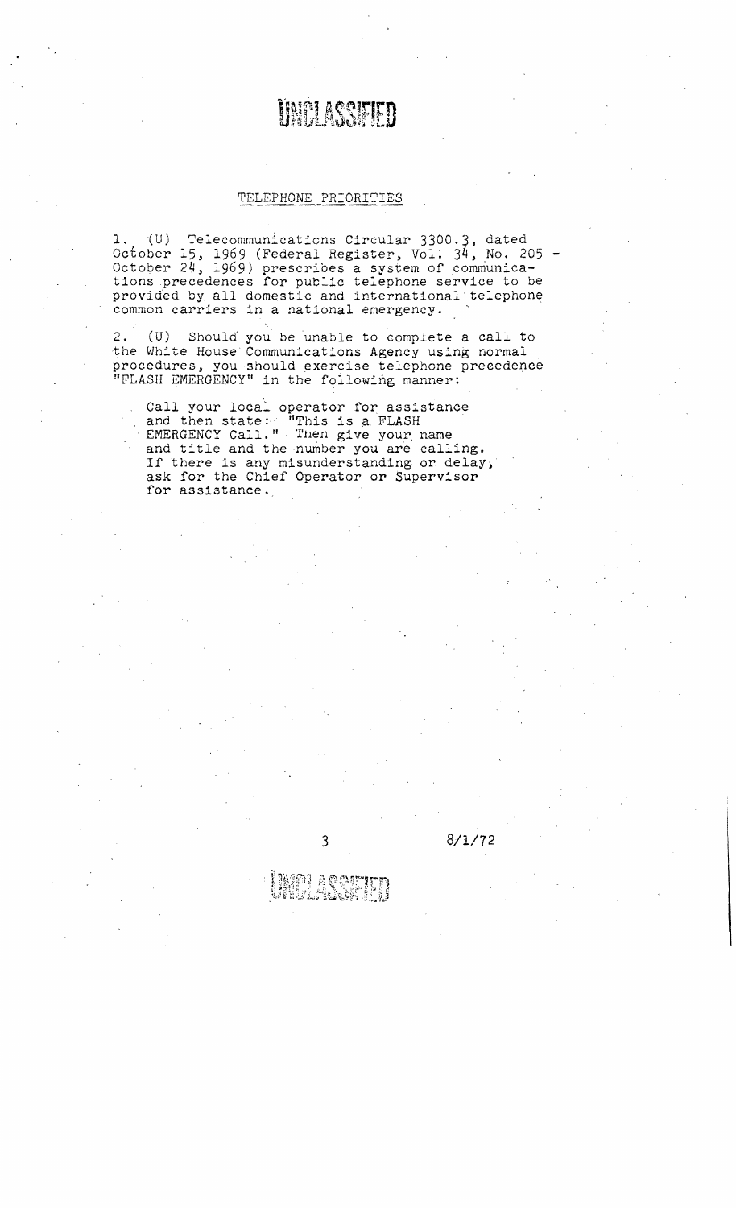# **UNELASSEED**

#### TELEPHONE PRIORITIES

1. {U) Telecommunications Circular 3300.3, dated October 15, 1969 (Federal Register, Vol. 34, No. 205 - October 24, 1969) prescribes a system of communications precedences for public telephone service to be provided by all domestic and international" telephone common carriers in a national emergency. .

2. (U) Should you be unable to complete a call to the White House Communications Agency using normal procedures, you should exercise telephone precedence "FLASH EMERGENCY" in the following manner:

Call your locai operator for assistance and then state: "This is a FLASH EMERGENCY Call." Then give your name and title and the number you are calling. If there is any misunderstanding or delay, ask for the Chief Operator or Supervisor for assistance.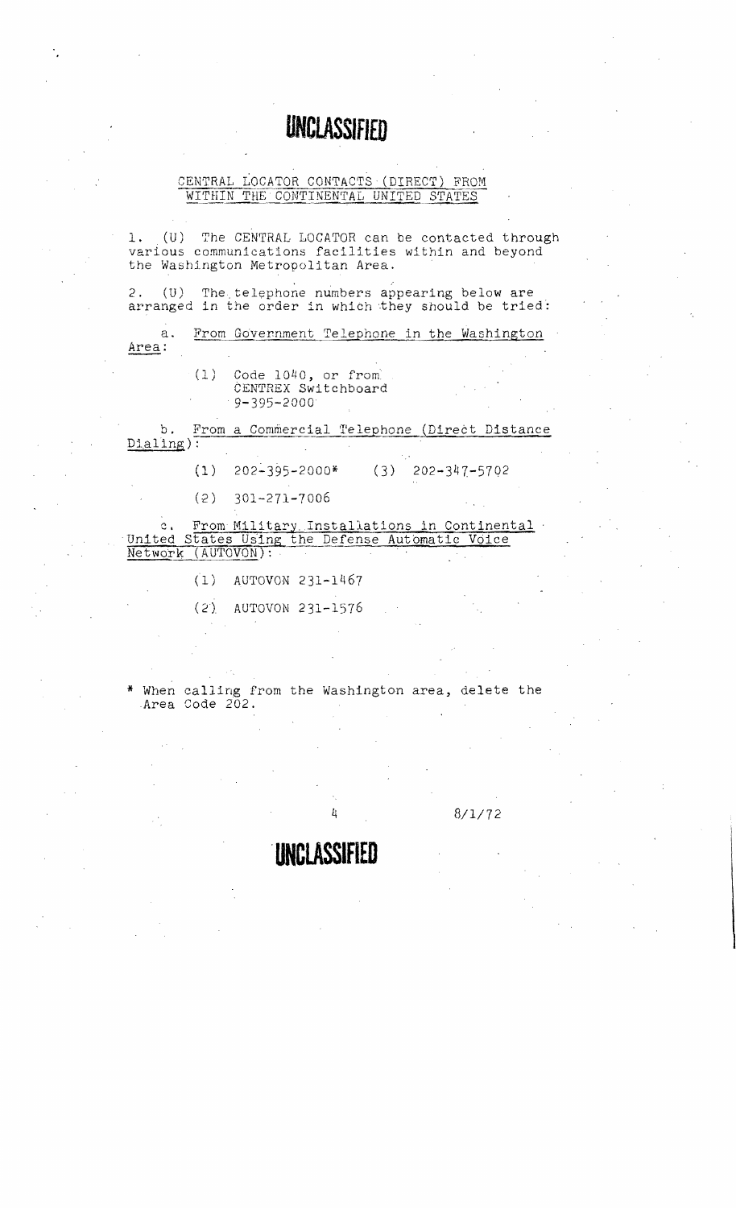# **UNCLASSifiED**

#### CENTRAL LOCATOR CONTACTS (DIRECT) FROM WITHIN THE CONTINENTAL UNITED STATES

1. (U) The CENTRAL LOCATOR can be contacted through various communications facillties within and beyond the Washington Metropolitan Area.

2. (U) The telephone numbers appearing below are arranged in the order in which they should be tried:

a. From Government Telephone in the Washington Area:

> $(1)$  Code 1040, or from CENTREX Switchboard ·9-395-2000

b. From a Commercial Telephone (Direct Distance Dtaling) :

 $(1)$  202-395-2000\* (3) 202-347-5702

(2) 301-271-7006

c. From Military Installations in Continental .<br>United States Using the Defense Automatic Voice Network (AUTOVON): .

(1) AUTOVON 231-1467

(2) AUTOVON 231-1576

When calling from the Washington area, delete the Area Code 202.

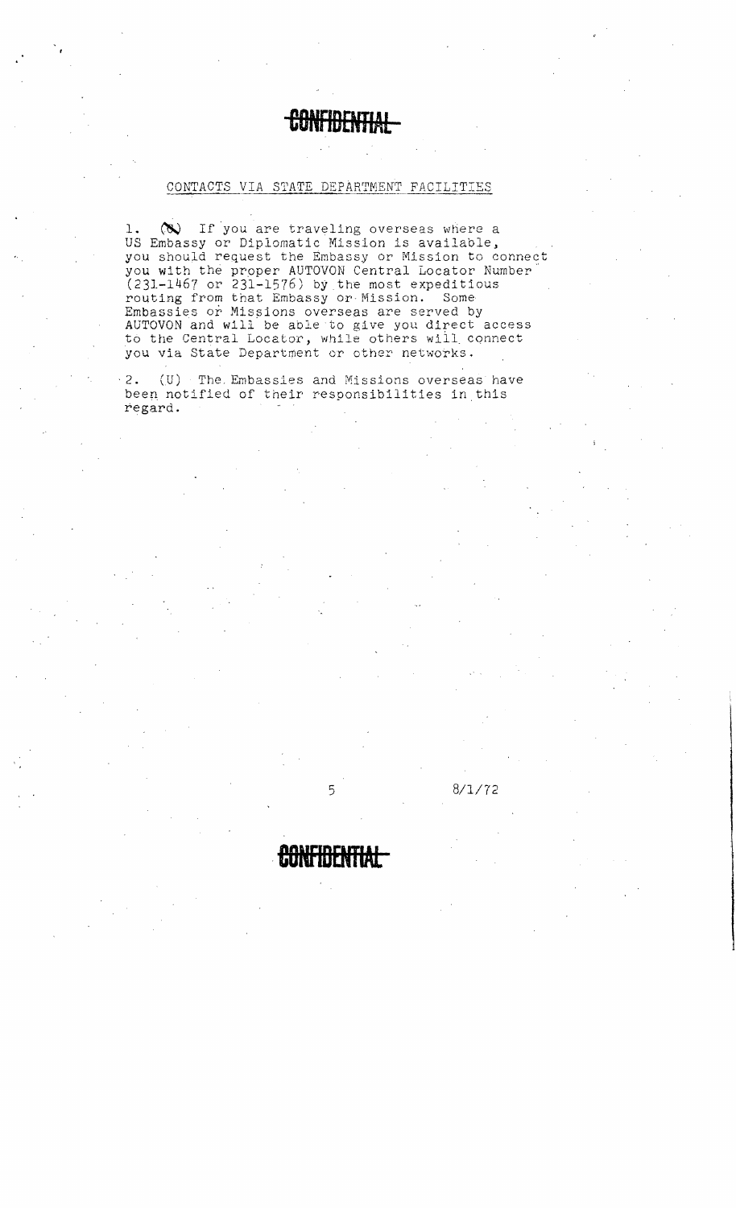### ebna inpie Nap

#### CONTACTS VIA STATE DEPARTMEN'r FACILITIES

1.  $\infty$  If you are traveling overseas where a US Embassy or Diplomatic Mission is available, you should request the Embassy or Mission to connect you with the proper AUTOVON Central Locator Number (231-1467 or 231-1576) by the most expeditious routing from that Embassy Or Mission. Some Embassies or Missions overseas are served by AUTOVON and will be able to give you direct access to the Central Locator, while others will connect you via State Department or other networks.

2. (U) The Embassies and Missions overseas have been notified of their responsibilities in this regard.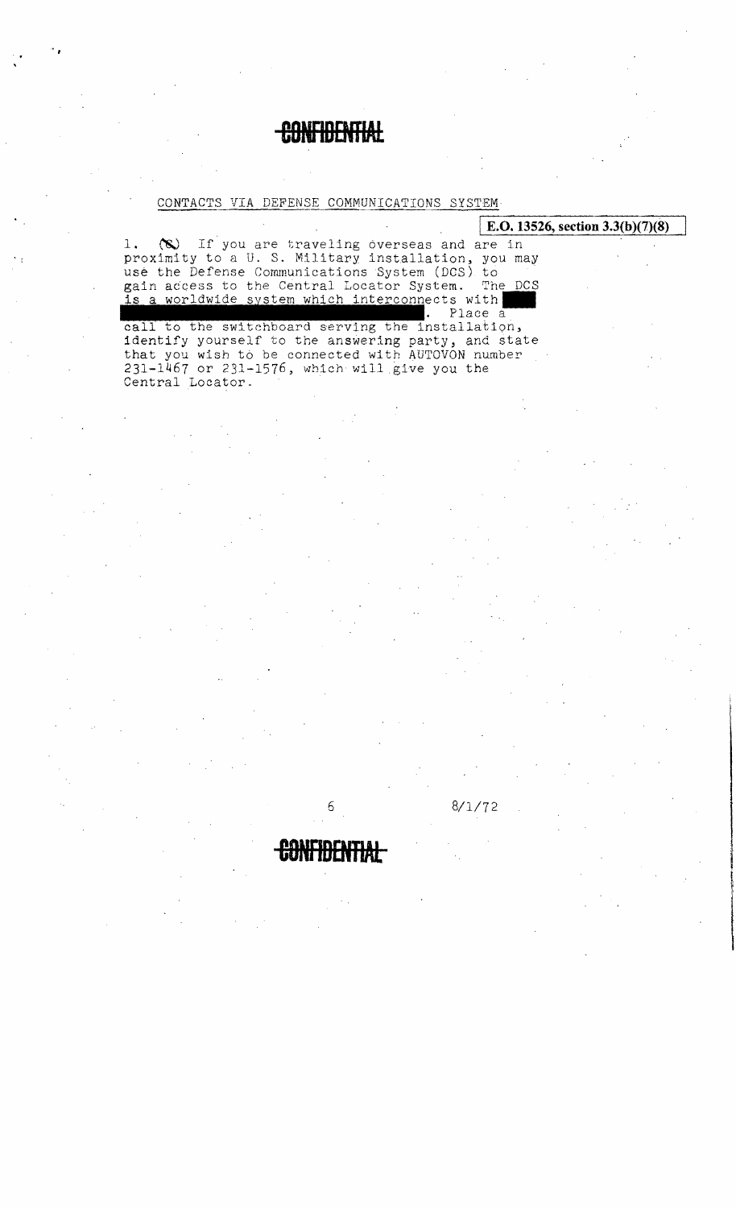## **TIDCAD**

#### CONTACTS VIA DEFENSE COMMUNICATIONS SYSTEM

|                                                                                                                                                                                                                                                                               | E.O. 13526, section $3.3(b)(7)(8)$ |
|-------------------------------------------------------------------------------------------------------------------------------------------------------------------------------------------------------------------------------------------------------------------------------|------------------------------------|
| (S) If you are traveling overseas and are in<br>1.<br>proximity to a U.S. Military installation, you may<br>use the Defense Communications System (DCS) to<br>gain access to the Central Locator System. The DCS<br>is a worldwide system which interconnects with<br>Place a |                                    |
| call to the switchboard serving the installation,<br>identify yourself to the answering party, and state<br>that you wish to be connected with AUTOVON number<br>231-1467 or 231-1576, which will give you the<br>Central Locator.                                            |                                    |
|                                                                                                                                                                                                                                                                               |                                    |
|                                                                                                                                                                                                                                                                               |                                    |
|                                                                                                                                                                                                                                                                               |                                    |
|                                                                                                                                                                                                                                                                               |                                    |
|                                                                                                                                                                                                                                                                               |                                    |
|                                                                                                                                                                                                                                                                               |                                    |
|                                                                                                                                                                                                                                                                               |                                    |

 $8/1/72$ 

6